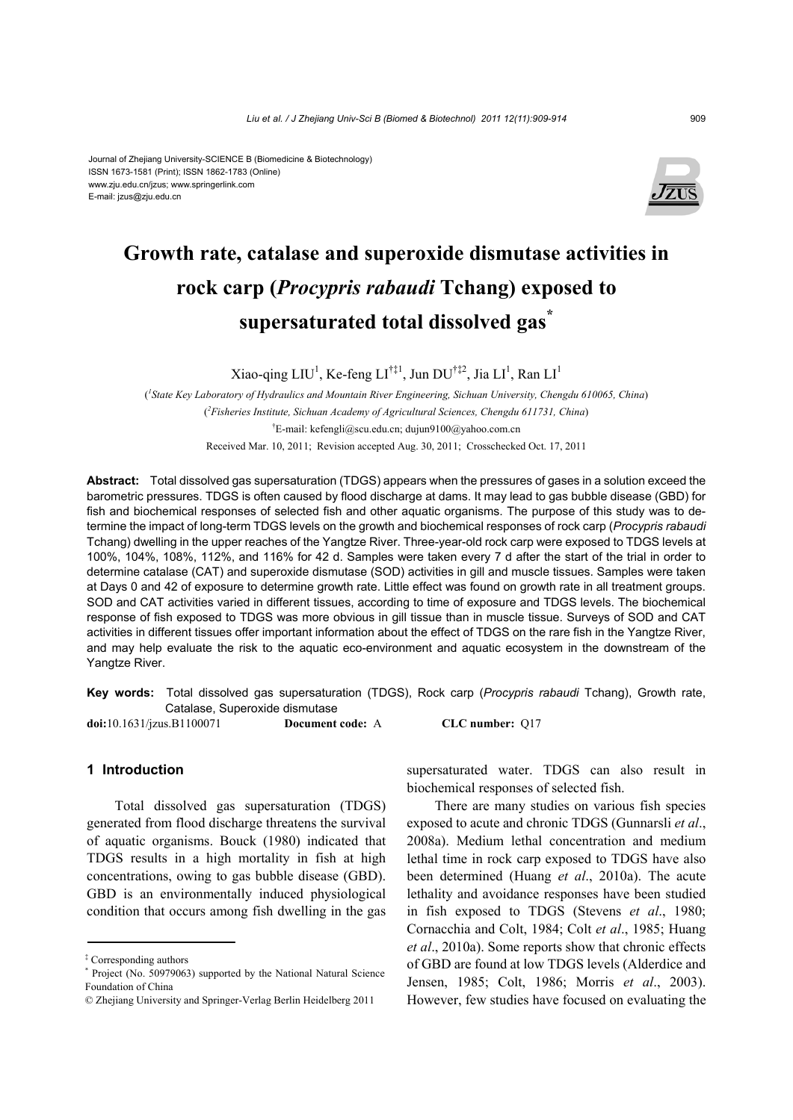#### Journal of Zhejiang University-SCIENCE B (Biomedicine & Biotechnology) ISSN 1673-1581 (Print); ISSN 1862-1783 (Online) www.zju.edu.cn/jzus; www.springerlink.com E-mail: jzus@zju.edu.cn



# **Growth rate, catalase and superoxide dismutase activities in rock carp (***Procypris rabaudi* **Tchang) exposed to supersaturated total dissolved gas\***

Xiao-qing LIU<sup>1</sup>, Ke-feng LI<sup>†‡1</sup>, Jun DU<sup>†‡2</sup>, Jia LI<sup>1</sup>, Ran LI<sup>1</sup>

( *1 State Key Laboratory of Hydraulics and Mountain River Engineering, Sichuan University, Chengdu 610065, China*) ( *2 Fisheries Institute, Sichuan Academy of Agricultural Sciences, Chengdu 611731, China*) † E-mail: kefengli@scu.edu.cn; dujun9100@yahoo.com.cn Received Mar. 10, 2011; Revision accepted Aug. 30, 2011; Crosschecked Oct. 17, 2011

**Abstract:** Total dissolved gas supersaturation (TDGS) appears when the pressures of gases in a solution exceed the barometric pressures. TDGS is often caused by flood discharge at dams. It may lead to gas bubble disease (GBD) for fish and biochemical responses of selected fish and other aquatic organisms. The purpose of this study was to determine the impact of long-term TDGS levels on the growth and biochemical responses of rock carp (*Procypris rabaudi* Tchang) dwelling in the upper reaches of the Yangtze River. Three-year-old rock carp were exposed to TDGS levels at 100%, 104%, 108%, 112%, and 116% for 42 d. Samples were taken every 7 d after the start of the trial in order to determine catalase (CAT) and superoxide dismutase (SOD) activities in gill and muscle tissues. Samples were taken at Days 0 and 42 of exposure to determine growth rate. Little effect was found on growth rate in all treatment groups. SOD and CAT activities varied in different tissues, according to time of exposure and TDGS levels. The biochemical response of fish exposed to TDGS was more obvious in gill tissue than in muscle tissue. Surveys of SOD and CAT activities in different tissues offer important information about the effect of TDGS on the rare fish in the Yangtze River, and may help evaluate the risk to the aquatic eco-environment and aquatic ecosystem in the downstream of the Yangtze River.

**Key words:** Total dissolved gas supersaturation (TDGS), Rock carp (*Procypris rabaudi* Tchang), Growth rate, Catalase, Superoxide dismutase

**doi:**10.1631/jzus.B1100071 **Document code:** A **CLC number:** Q17

## **1 Introduction**

Total dissolved gas supersaturation (TDGS) generated from flood discharge threatens the survival of aquatic organisms. Bouck (1980) indicated that TDGS results in a high mortality in fish at high concentrations, owing to gas bubble disease (GBD). GBD is an environmentally induced physiological condition that occurs among fish dwelling in the gas

supersaturated water. TDGS can also result in biochemical responses of selected fish.

There are many studies on various fish species exposed to acute and chronic TDGS (Gunnarsli *et al*., 2008a). Medium lethal concentration and medium lethal time in rock carp exposed to TDGS have also been determined (Huang *et al*., 2010a). The acute lethality and avoidance responses have been studied in fish exposed to TDGS (Stevens *et al*., 1980; Cornacchia and Colt, 1984; Colt *et al*., 1985; Huang *et al*., 2010a). Some reports show that chronic effects of GBD are found at low TDGS levels (Alderdice and Jensen, 1985; Colt, 1986; Morris *et al*., 2003). However, few studies have focused on evaluating the

<sup>‡</sup> Corresponding authors

<sup>\*</sup> Project (No. 50979063) supported by the National Natural Science Foundation of China

<sup>©</sup> Zhejiang University and Springer-Verlag Berlin Heidelberg 2011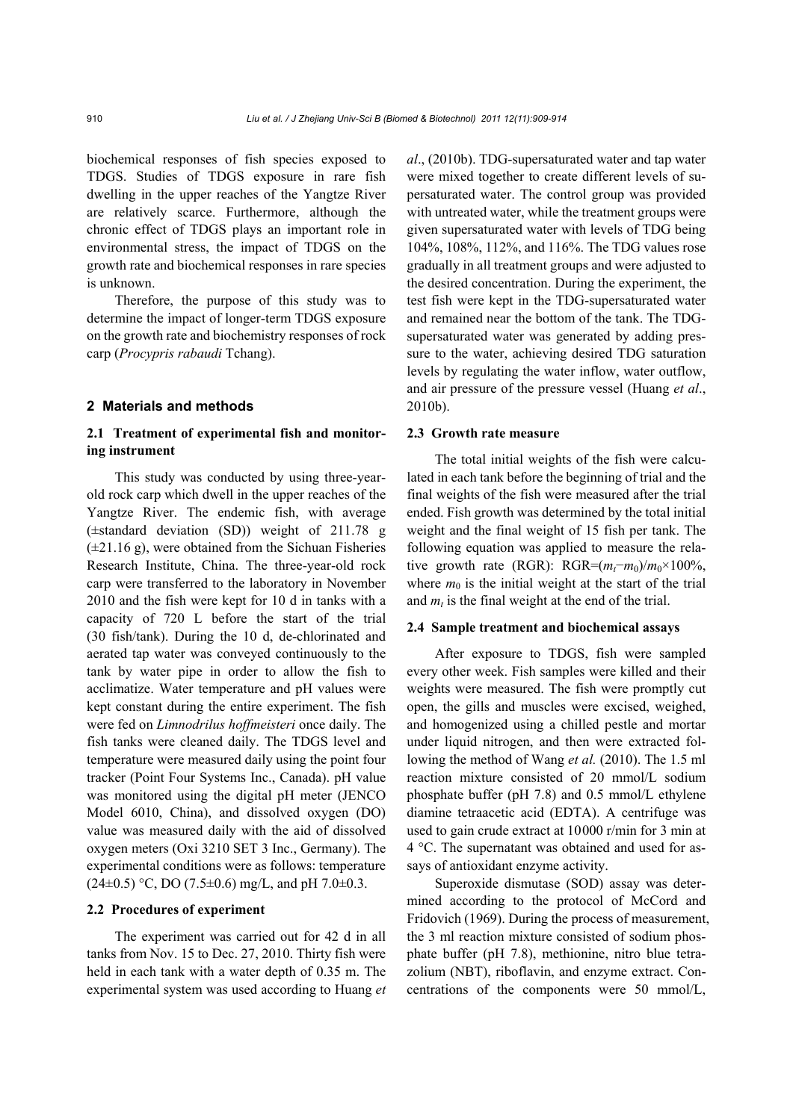biochemical responses of fish species exposed to TDGS. Studies of TDGS exposure in rare fish dwelling in the upper reaches of the Yangtze River are relatively scarce. Furthermore, although the chronic effect of TDGS plays an important role in environmental stress, the impact of TDGS on the growth rate and biochemical responses in rare species is unknown.

Therefore, the purpose of this study was to determine the impact of longer-term TDGS exposure on the growth rate and biochemistry responses of rock carp (*Procypris rabaudi* Tchang).

#### **2 Materials and methods**

# **2.1 Treatment of experimental fish and monitoring instrument**

This study was conducted by using three-yearold rock carp which dwell in the upper reaches of the Yangtze River. The endemic fish, with average (±standard deviation (SD)) weight of 211.78 g  $(\pm 21.16 \text{ g})$ , were obtained from the Sichuan Fisheries Research Institute, China. The three-year-old rock carp were transferred to the laboratory in November 2010 and the fish were kept for 10 d in tanks with a capacity of 720 L before the start of the trial (30 fish/tank). During the 10 d, de-chlorinated and aerated tap water was conveyed continuously to the tank by water pipe in order to allow the fish to acclimatize. Water temperature and pH values were kept constant during the entire experiment. The fish were fed on *Limnodrilus hoffmeisteri* once daily. The fish tanks were cleaned daily. The TDGS level and temperature were measured daily using the point four tracker (Point Four Systems Inc., Canada). pH value was monitored using the digital pH meter (JENCO Model 6010, China), and dissolved oxygen (DO) value was measured daily with the aid of dissolved oxygen meters (Oxi 3210 SET 3 Inc., Germany). The experimental conditions were as follows: temperature  $(24\pm0.5)$  °C, DO (7.5 $\pm$ 0.6) mg/L, and pH 7.0 $\pm$ 0.3.

## **2.2 Procedures of experiment**

The experiment was carried out for 42 d in all tanks from Nov. 15 to Dec. 27, 2010. Thirty fish were held in each tank with a water depth of 0.35 m. The experimental system was used according to Huang *et*  *al*., (2010b). TDG-supersaturated water and tap water were mixed together to create different levels of supersaturated water. The control group was provided with untreated water, while the treatment groups were given supersaturated water with levels of TDG being 104%, 108%, 112%, and 116%. The TDG values rose gradually in all treatment groups and were adjusted to the desired concentration. During the experiment, the test fish were kept in the TDG-supersaturated water and remained near the bottom of the tank. The TDGsupersaturated water was generated by adding pressure to the water, achieving desired TDG saturation levels by regulating the water inflow, water outflow, and air pressure of the pressure vessel (Huang *et al*., 2010b).

## **2.3 Growth rate measure**

The total initial weights of the fish were calculated in each tank before the beginning of trial and the final weights of the fish were measured after the trial ended. Fish growth was determined by the total initial weight and the final weight of 15 fish per tank. The following equation was applied to measure the relative growth rate (RGR): RGR= $(m_t-m_0)/m_0 \times 100\%$ , where  $m_0$  is the initial weight at the start of the trial and  $m_t$  is the final weight at the end of the trial.

#### **2.4 Sample treatment and biochemical assays**

After exposure to TDGS, fish were sampled every other week. Fish samples were killed and their weights were measured. The fish were promptly cut open, the gills and muscles were excised, weighed, and homogenized using a chilled pestle and mortar under liquid nitrogen, and then were extracted following the method of Wang *et al.* (2010). The 1.5 ml reaction mixture consisted of 20 mmol/L sodium phosphate buffer (pH 7.8) and 0.5 mmol/L ethylene diamine tetraacetic acid (EDTA). A centrifuge was used to gain crude extract at 10000 r/min for 3 min at 4 °C. The supernatant was obtained and used for assays of antioxidant enzyme activity.

Superoxide dismutase (SOD) assay was determined according to the protocol of McCord and Fridovich (1969). During the process of measurement, the 3 ml reaction mixture consisted of sodium phosphate buffer (pH 7.8), methionine, nitro blue tetrazolium (NBT), riboflavin, and enzyme extract. Concentrations of the components were 50 mmol/L,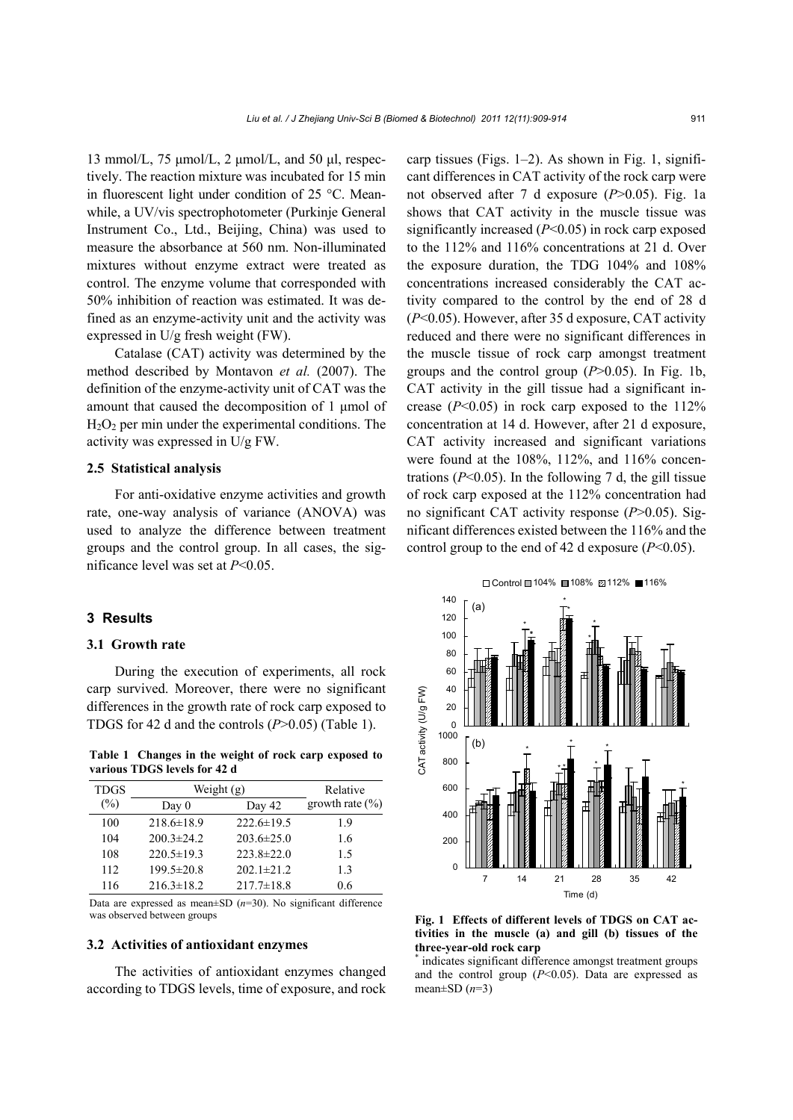13 mmol/L, 75  $\mu$ mol/L, 2  $\mu$ mol/L, and 50  $\mu$ l, respectively. The reaction mixture was incubated for 15 min in fluorescent light under condition of 25 °C. Meanwhile, a UV/vis spectrophotometer (Purkinje General Instrument Co., Ltd., Beijing, China) was used to measure the absorbance at 560 nm. Non-illuminated mixtures without enzyme extract were treated as control. The enzyme volume that corresponded with 50% inhibition of reaction was estimated. It was defined as an enzyme-activity unit and the activity was expressed in U/g fresh weight (FW).

Catalase (CAT) activity was determined by the method described by Montavon *et al.* (2007). The definition of the enzyme-activity unit of CAT was the amount that caused the decomposition of 1 μmol of  $H<sub>2</sub>O<sub>2</sub>$  per min under the experimental conditions. The activity was expressed in U/g FW.

#### **2.5 Statistical analysis**

For anti-oxidative enzyme activities and growth rate, one-way analysis of variance (ANOVA) was used to analyze the difference between treatment groups and the control group. In all cases, the significance level was set at *P*<0.05.

#### **3 Results**

#### **3.1 Growth rate**

During the execution of experiments, all rock carp survived. Moreover, there were no significant differences in the growth rate of rock carp exposed to TDGS for 42 d and the controls (*P*>0.05) (Table 1).

**Table 1 Changes in the weight of rock carp exposed to various TDGS levels for 42 d**

| <b>TDGS</b>    | Weight (g)       |                  | Relative            |
|----------------|------------------|------------------|---------------------|
| $\binom{0}{0}$ | Day $0$          | Day 42           | growth rate $(\% )$ |
| 100            | $218.6 \pm 18.9$ | $222.6 \pm 19.5$ | 1.9                 |
| 104            | $200.3 \pm 24.2$ | $203.6 \pm 25.0$ | 1.6                 |
| 108            | $220.5 \pm 19.3$ | $223.8 \pm 22.0$ | 1.5                 |
| 112            | 199.5±20.8       | $202.1 \pm 21.2$ | 1.3                 |
| 116            | $216.3 \pm 18.2$ | $217.7 \pm 18.8$ | 0.6                 |

Data are expressed as mean±SD (*n*=30). No significant difference was observed between groups

#### **3.2 Activities of antioxidant enzymes**

The activities of antioxidant enzymes changed according to TDGS levels, time of exposure, and rock carp tissues (Figs. 1–2). As shown in Fig. 1, significant differences in CAT activity of the rock carp were not observed after 7 d exposure (*P*>0.05). Fig. 1a shows that CAT activity in the muscle tissue was significantly increased (*P*<0.05) in rock carp exposed to the 112% and 116% concentrations at 21 d. Over the exposure duration, the TDG 104% and 108% concentrations increased considerably the CAT activity compared to the control by the end of 28 d (*P*<0.05). However, after 35 d exposure, CAT activity reduced and there were no significant differences in the muscle tissue of rock carp amongst treatment groups and the control group (*P*>0.05). In Fig. 1b, CAT activity in the gill tissue had a significant increase  $(P<0.05)$  in rock carp exposed to the 112% concentration at 14 d. However, after 21 d exposure, CAT activity increased and significant variations were found at the 108%, 112%, and 116% concentrations  $(P<0.05)$ . In the following 7 d, the gill tissue of rock carp exposed at the 112% concentration had no significant CAT activity response (*P*>0.05). Significant differences existed between the 116% and the control group to the end of 42 d exposure (*P*<0.05).



**Fig. 1 Effects of different levels of TDGS on CAT activities in the muscle (a) and gill (b) tissues of the three-year-old rock carp** 

\* indicates significant difference amongst treatment groups and the control group  $(P<0.05)$ . Data are expressed as mean±SD (*n*=3)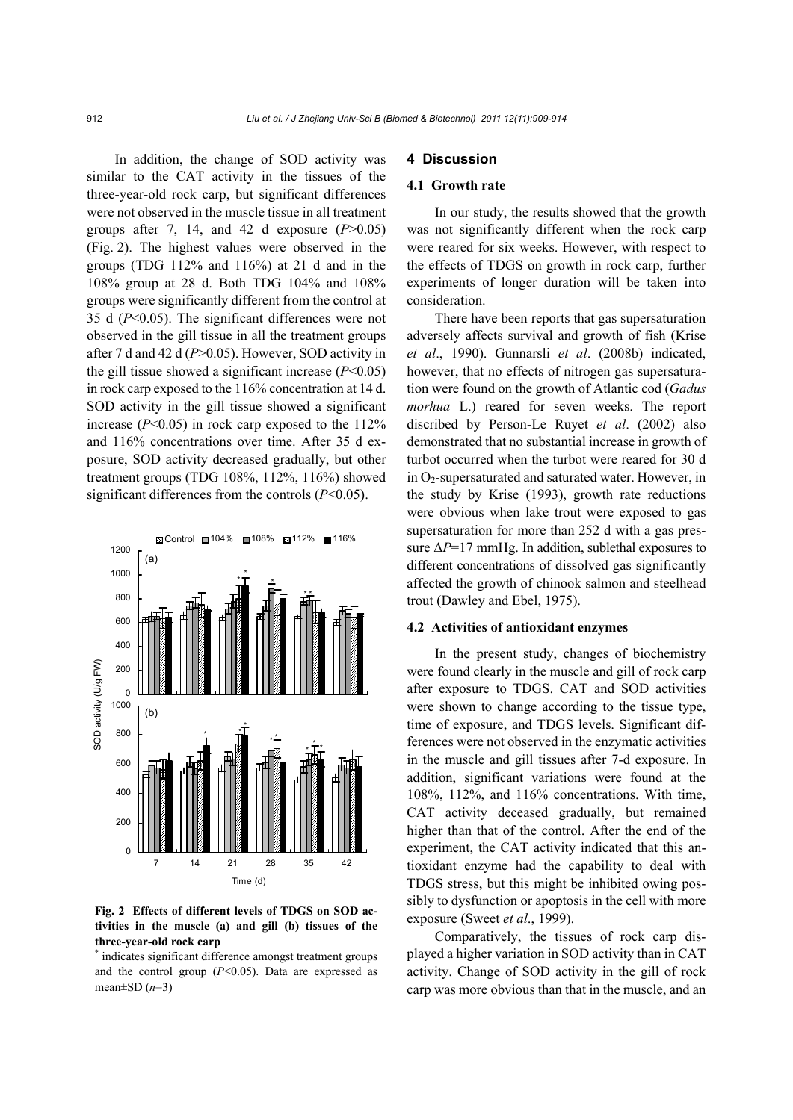In addition, the change of SOD activity was similar to the CAT activity in the tissues of the three-year-old rock carp, but significant differences were not observed in the muscle tissue in all treatment groups after 7, 14, and 42 d exposure  $(P>0.05)$ (Fig. 2). The highest values were observed in the groups (TDG 112% and 116%) at 21 d and in the 108% group at 28 d. Both TDG 104% and 108% groups were significantly different from the control at 35 d (*P*<0.05). The significant differences were not observed in the gill tissue in all the treatment groups after 7 d and 42 d (*P*>0.05). However, SOD activity in the gill tissue showed a significant increase (*P*<0.05) in rock carp exposed to the 116% concentration at 14 d. SOD activity in the gill tissue showed a significant increase  $(P<0.05)$  in rock carp exposed to the 112% and 116% concentrations over time. After 35 d exposure, SOD activity decreased gradually, but other treatment groups (TDG 108%, 112%, 116%) showed significant differences from the controls (*P*<0.05).



## **Fig. 2 Effects of different levels of TDGS on SOD activities in the muscle (a) and gill (b) tissues of the three-year-old rock carp**

\* indicates significant difference amongst treatment groups and the control group  $(P<0.05)$ . Data are expressed as mean $\pm$ SD ( $n=3$ )

## **4 Discussion**

#### **4.1 Growth rate**

In our study, the results showed that the growth was not significantly different when the rock carp were reared for six weeks. However, with respect to the effects of TDGS on growth in rock carp, further experiments of longer duration will be taken into consideration.

There have been reports that gas supersaturation adversely affects survival and growth of fish (Krise *et al*., 1990). Gunnarsli *et al*. (2008b) indicated, however, that no effects of nitrogen gas supersaturation were found on the growth of Atlantic cod (*Gadus morhua* L.) reared for seven weeks. The report discribed by Person-Le Ruyet *et al*. (2002) also demonstrated that no substantial increase in growth of turbot occurred when the turbot were reared for 30 d in  $O<sub>2</sub>$ -supersaturated and saturated water. However, in the study by Krise (1993), growth rate reductions were obvious when lake trout were exposed to gas supersaturation for more than 252 d with a gas pressure Δ*P*=17 mmHg. In addition, sublethal exposures to different concentrations of dissolved gas significantly affected the growth of chinook salmon and steelhead trout (Dawley and Ebel, 1975).

#### **4.2 Activities of antioxidant enzymes**

In the present study, changes of biochemistry were found clearly in the muscle and gill of rock carp after exposure to TDGS. CAT and SOD activities were shown to change according to the tissue type, time of exposure, and TDGS levels. Significant differences were not observed in the enzymatic activities in the muscle and gill tissues after 7-d exposure. In addition, significant variations were found at the 108%, 112%, and 116% concentrations. With time, CAT activity deceased gradually, but remained higher than that of the control. After the end of the experiment, the CAT activity indicated that this antioxidant enzyme had the capability to deal with TDGS stress, but this might be inhibited owing possibly to dysfunction or apoptosis in the cell with more exposure (Sweet *et al*., 1999).

Comparatively, the tissues of rock carp displayed a higher variation in SOD activity than in CAT activity. Change of SOD activity in the gill of rock carp was more obvious than that in the muscle, and an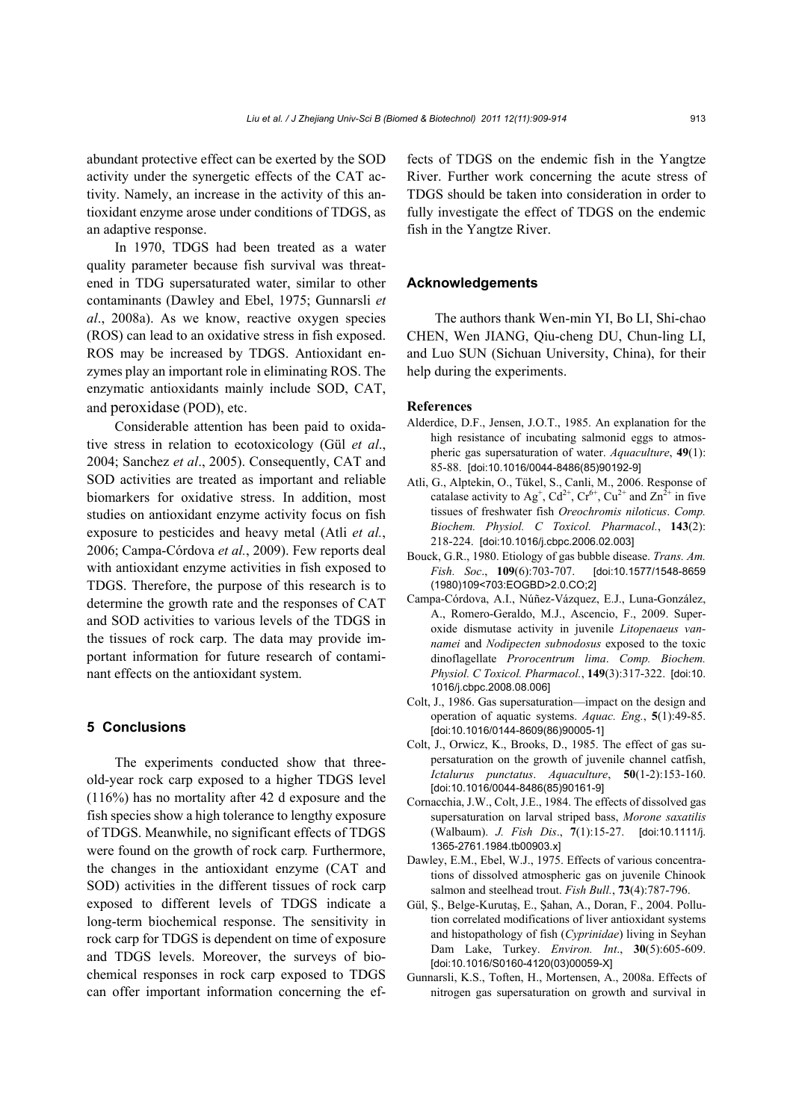abundant protective effect can be exerted by the SOD activity under the synergetic effects of the CAT activity. Namely, an increase in the activity of this antioxidant enzyme arose under conditions of TDGS, as an adaptive response.

In 1970, TDGS had been treated as a water quality parameter because fish survival was threatened in TDG supersaturated water, similar to other contaminants (Dawley and Ebel, 1975; Gunnarsli *et al*., 2008a). As we know, reactive oxygen species (ROS) can lead to an oxidative stress in fish exposed. ROS may be increased by TDGS. Antioxidant enzymes play an important role in eliminating ROS. The enzymatic antioxidants mainly include SOD, CAT, and peroxidase (POD), etc.

Considerable attention has been paid to oxidative stress in relation to ecotoxicology (Gül *et al*., 2004; Sanchez *et al*., 2005). Consequently, CAT and SOD activities are treated as important and reliable biomarkers for oxidative stress. In addition, most studies on antioxidant enzyme activity focus on fish exposure to pesticides and heavy metal (Atli *et al.*, 2006; Campa-Córdova *et al.*, 2009). Few reports deal with antioxidant enzyme activities in fish exposed to TDGS. Therefore, the purpose of this research is to determine the growth rate and the responses of CAT and SOD activities to various levels of the TDGS in the tissues of rock carp. The data may provide important information for future research of contaminant effects on the antioxidant system.

## **5 Conclusions**

The experiments conducted show that threeold-year rock carp exposed to a higher TDGS level (116%) has no mortality after 42 d exposure and the fish species show a high tolerance to lengthy exposure of TDGS. Meanwhile, no significant effects of TDGS were found on the growth of rock carp*.* Furthermore, the changes in the antioxidant enzyme (CAT and SOD) activities in the different tissues of rock carp exposed to different levels of TDGS indicate a long-term biochemical response. The sensitivity in rock carp for TDGS is dependent on time of exposure and TDGS levels. Moreover, the surveys of biochemical responses in rock carp exposed to TDGS can offer important information concerning the effects of TDGS on the endemic fish in the Yangtze River. Further work concerning the acute stress of TDGS should be taken into consideration in order to fully investigate the effect of TDGS on the endemic fish in the Yangtze River.

## **Acknowledgements**

The authors thank Wen-min YI, Bo LI, Shi-chao CHEN, Wen JIANG, Qiu-cheng DU, Chun-ling LI, and Luo SUN (Sichuan University, China), for their help during the experiments.

#### **References**

- Alderdice, D.F., Jensen, J.O.T., 1985. An explanation for the high resistance of incubating salmonid eggs to atmospheric gas supersaturation of water. *Aquaculture*, **49**(1): 85-88. [doi:10.1016/0044-8486(85)90192-9]
- Atli, G., Alptekin, O., Tükel, S., Canli, M., 2006. Response of catalase activity to  $Ag^{\dagger}$ ,  $Cd^{2+}$ ,  $Cr^{6+}$ ,  $Cu^{2+}$  and  $Zn^{2+}$  in five tissues of freshwater fish *Oreochromis niloticus*. *Comp. Biochem. Physiol. C Toxicol. Pharmacol.*, **143**(2): 218-224. [doi:10.1016/j.cbpc.2006.02.003]
- Bouck, G.R., 1980. Etiology of gas bubble disease. *Trans. Am. Fish. Soc*., **109**(6):703-707. [doi:10.1577/1548-8659 (1980)109<703:EOGBD>2.0.CO;2]
- Campa-Córdova, A.I., Núñez-Vázquez, E.J., Luna-González, A., Romero-Geraldo, M.J., Ascencio, F., 2009. Superoxide dismutase activity in juvenile *Litopenaeus vannamei* and *Nodipecten subnodosus* exposed to the toxic dinoflagellate *Prorocentrum lima*. *Comp. Biochem. Physiol. C Toxicol. Pharmacol.*, **149**(3):317-322. [doi:10. 1016/j.cbpc.2008.08.006]
- Colt, J., 1986. Gas supersaturation—impact on the design and operation of aquatic systems. *Aquac. Eng.*, **5**(1):49-85. [doi:10.1016/0144-8609(86)90005-1]
- Colt, J., Orwicz, K., Brooks, D., 1985. The effect of gas supersaturation on the growth of juvenile channel catfish, *Ictalurus punctatus*. *Aquaculture*, **50**(1-2):153-160. [doi:10.1016/0044-8486(85)90161-9]
- Cornacchia, J.W., Colt, J.E., 1984. The effects of dissolved gas supersaturation on larval striped bass, *Morone saxatilis* (Walbaum). *J. Fish Dis*., **7**(1):15-27. [doi:10.1111/j. 1365-2761.1984.tb00903.x]
- Dawley, E.M., Ebel, W.J., 1975. Effects of various concentrations of dissolved atmospheric gas on juvenile Chinook salmon and steelhead trout. *Fish Bull.*, **73**(4):787-796.
- Gül, Ş., Belge-Kurutaş, E., Şahan, A., Doran, F., 2004. Pollution correlated modifications of liver antioxidant systems and histopathology of fish (*Cyprinidae*) living in Seyhan Dam Lake, Turkey. *Environ. Int*., **30**(5):605-609. [doi:10.1016/S0160-4120(03)00059-X]
- Gunnarsli, K.S., Toften, H., Mortensen, A., 2008a. Effects of nitrogen gas supersaturation on growth and survival in